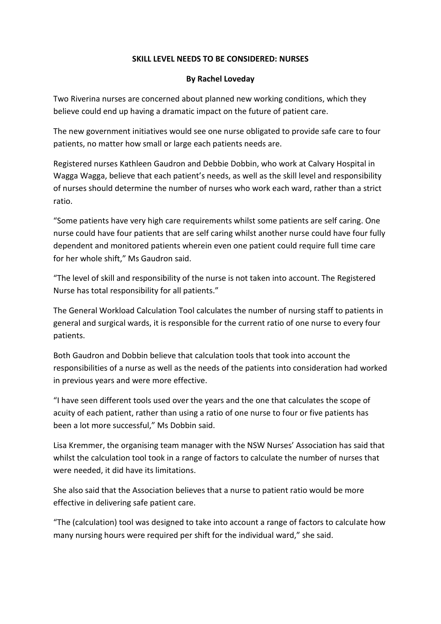## **SKILL LEVEL NEEDS TO BE CONSIDERED: NURSES**

## **By Rachel Loveday**

Two Riverina nurses are concerned about planned new working conditions, which they believe could end up having a dramatic impact on the future of patient care.

The new government initiatives would see one nurse obligated to provide safe care to four patients, no matter how small or large each patients needs are.

Registered nurses Kathleen Gaudron and Debbie Dobbin, who work at Calvary Hospital in Wagga Wagga, believe that each patient's needs, as well as the skill level and responsibility of nurses should determine the number of nurses who work each ward, rather than a strict ratio.

"Some patients have very high care requirements whilst some patients are self caring. One nurse could have four patients that are self caring whilst another nurse could have four fully dependent and monitored patients wherein even one patient could require full time care for her whole shift," Ms Gaudron said.

"The level of skill and responsibility of the nurse is not taken into account. The Registered Nurse has total responsibility for all patients."

The General Workload Calculation Tool calculates the number of nursing staff to patients in general and surgical wards, it is responsible for the current ratio of one nurse to every four patients.

Both Gaudron and Dobbin believe that calculation tools that took into account the responsibilities of a nurse as well as the needs of the patients into consideration had worked in previous years and were more effective.

"I have seen different tools used over the years and the one that calculates the scope of acuity of each patient, rather than using a ratio of one nurse to four or five patients has been a lot more successful," Ms Dobbin said.

Lisa Kremmer, the organising team manager with the NSW Nurses' Association has said that whilst the calculation tool took in a range of factors to calculate the number of nurses that were needed, it did have its limitations.

She also said that the Association believes that a nurse to patient ratio would be more effective in delivering safe patient care.

"The (calculation) tool was designed to take into account a range of factors to calculate how many nursing hours were required per shift for the individual ward," she said.